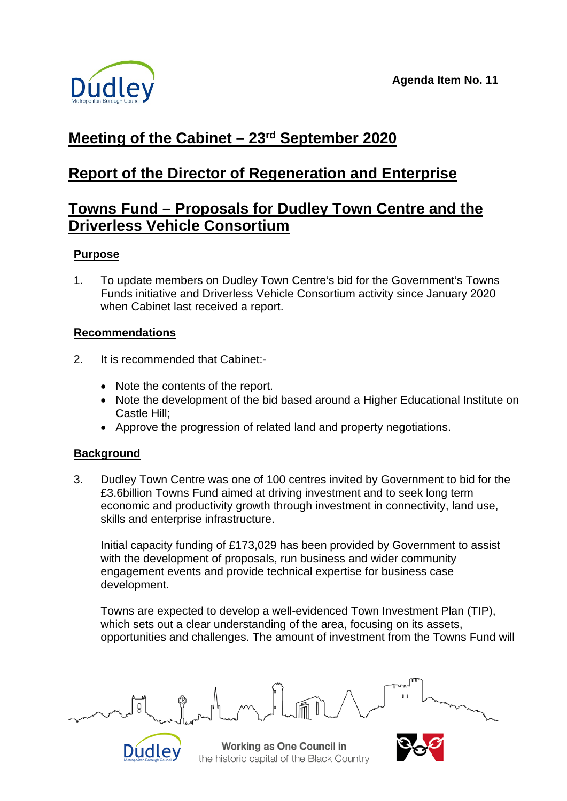

# **Meeting of the Cabinet – 23rd September 2020**

# **Report of the Director of Regeneration and Enterprise**

# **Towns Fund – Proposals for Dudley Town Centre and the Driverless Vehicle Consortium**

# **Purpose**

1. To update members on Dudley Town Centre's bid for the Government's Towns Funds initiative and Driverless Vehicle Consortium activity since January 2020 when Cabinet last received a report.

## **Recommendations**

- 2. It is recommended that Cabinet:-
	- Note the contents of the report.
	- Note the development of the bid based around a Higher Educational Institute on Castle Hill;
	- Approve the progression of related land and property negotiations.

# **Background**

3. Dudley Town Centre was one of 100 centres invited by Government to bid for the £3.6billion Towns Fund aimed at driving investment and to seek long term economic and productivity growth through investment in connectivity, land use, skills and enterprise infrastructure.

Initial capacity funding of £173,029 has been provided by Government to assist with the development of proposals, run business and wider community engagement events and provide technical expertise for business case development.

Towns are expected to develop a well-evidenced Town Investment Plan (TIP), which sets out a clear understanding of the area, focusing on its assets, opportunities and challenges. The amount of investment from the Towns Fund will



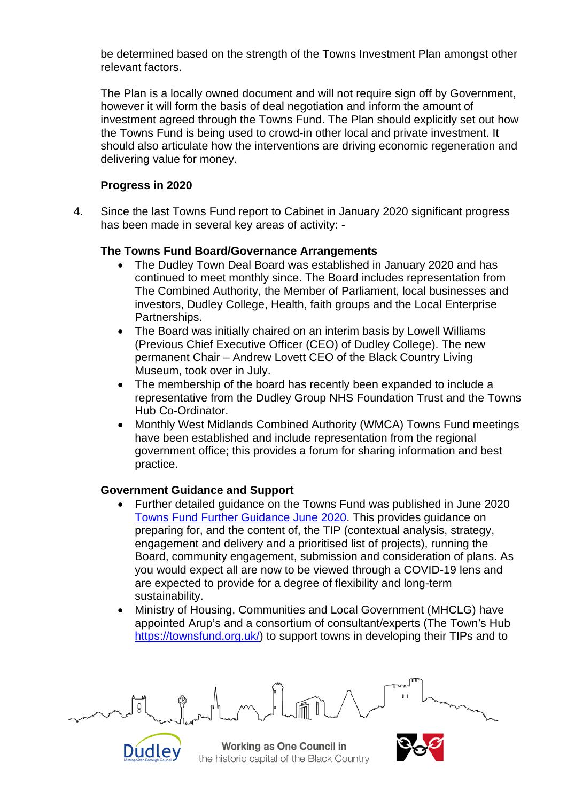be determined based on the strength of the Towns Investment Plan amongst other relevant factors.

The Plan is a locally owned document and will not require sign off by Government, however it will form the basis of deal negotiation and inform the amount of investment agreed through the Towns Fund. The Plan should explicitly set out how the Towns Fund is being used to crowd-in other local and private investment. It should also articulate how the interventions are driving economic regeneration and delivering value for money.

#### **Progress in 2020**

4. Since the last Towns Fund report to Cabinet in January 2020 significant progress has been made in several key areas of activity: -

### **The Towns Fund Board/Governance Arrangements**

- The Dudley Town Deal Board was established in January 2020 and has continued to meet monthly since. The Board includes representation from The Combined Authority, the Member of Parliament, local businesses and investors, Dudley College, Health, faith groups and the Local Enterprise Partnerships.
- The Board was initially chaired on an interim basis by Lowell Williams (Previous Chief Executive Officer (CEO) of Dudley College). The new permanent Chair – Andrew Lovett CEO of the Black Country Living Museum, took over in July.
- The membership of the board has recently been expanded to include a representative from the Dudley Group NHS Foundation Trust and the Towns Hub Co-Ordinator.
- Monthly West Midlands Combined Authority (WMCA) Towns Fund meetings have been established and include representation from the regional government office; this provides a forum for sharing information and best practice.

## **Government Guidance and Support**

Dudley

- Further detailed guidance on the Towns Fund was published in June 2020 [Towns Fund Further Guidance June 2020.](https://assets.publishing.service.gov.uk/government/uploads/system/uploads/attachment_data/file/892781/Towns_Fund_further_guidance_16_June_FINAL.pdf) This provides guidance on preparing for, and the content of, the TIP (contextual analysis, strategy, engagement and delivery and a prioritised list of projects), running the Board, community engagement, submission and consideration of plans. As you would expect all are now to be viewed through a COVID-19 lens and are expected to provide for a degree of flexibility and long-term sustainability.
- Ministry of Housing, Communities and Local Government (MHCLG) have appointed Arup's and a consortium of consultant/experts (The Town's Hub [https://townsfund.org.uk/\)](https://townsfund.org.uk/) to support towns in developing their TIPs and to

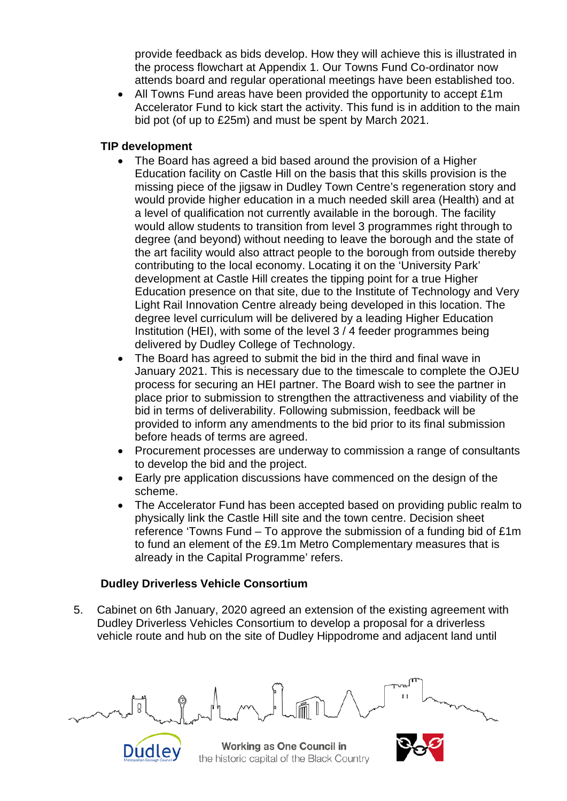provide feedback as bids develop. How they will achieve this is illustrated in the process flowchart at Appendix 1. Our Towns Fund Co-ordinator now attends board and regular operational meetings have been established too.

• All Towns Fund areas have been provided the opportunity to accept £1m Accelerator Fund to kick start the activity. This fund is in addition to the main bid pot (of up to £25m) and must be spent by March 2021.

## **TIP development**

- The Board has agreed a bid based around the provision of a Higher Education facility on Castle Hill on the basis that this skills provision is the missing piece of the jigsaw in Dudley Town Centre's regeneration story and would provide higher education in a much needed skill area (Health) and at a level of qualification not currently available in the borough. The facility would allow students to transition from level 3 programmes right through to degree (and beyond) without needing to leave the borough and the state of the art facility would also attract people to the borough from outside thereby contributing to the local economy. Locating it on the 'University Park' development at Castle Hill creates the tipping point for a true Higher Education presence on that site, due to the Institute of Technology and Very Light Rail Innovation Centre already being developed in this location. The degree level curriculum will be delivered by a leading Higher Education Institution (HEI), with some of the level 3 / 4 feeder programmes being delivered by Dudley College of Technology.
- The Board has agreed to submit the bid in the third and final wave in January 2021. This is necessary due to the timescale to complete the OJEU process for securing an HEI partner. The Board wish to see the partner in place prior to submission to strengthen the attractiveness and viability of the bid in terms of deliverability. Following submission, feedback will be provided to inform any amendments to the bid prior to its final submission before heads of terms are agreed.
- Procurement processes are underway to commission a range of consultants to develop the bid and the project.
- Early pre application discussions have commenced on the design of the scheme.
- The Accelerator Fund has been accepted based on providing public realm to physically link the Castle Hill site and the town centre. Decision sheet reference 'Towns Fund – To approve the submission of a funding bid of £1m to fund an element of the £9.1m Metro Complementary measures that is already in the Capital Programme' refers.

## **Dudley Driverless Vehicle Consortium**

Dudley

5. Cabinet on 6th January, 2020 agreed an extension of the existing agreement with Dudley Driverless Vehicles Consortium to develop a proposal for a driverless vehicle route and hub on the site of Dudley Hippodrome and adjacent land until

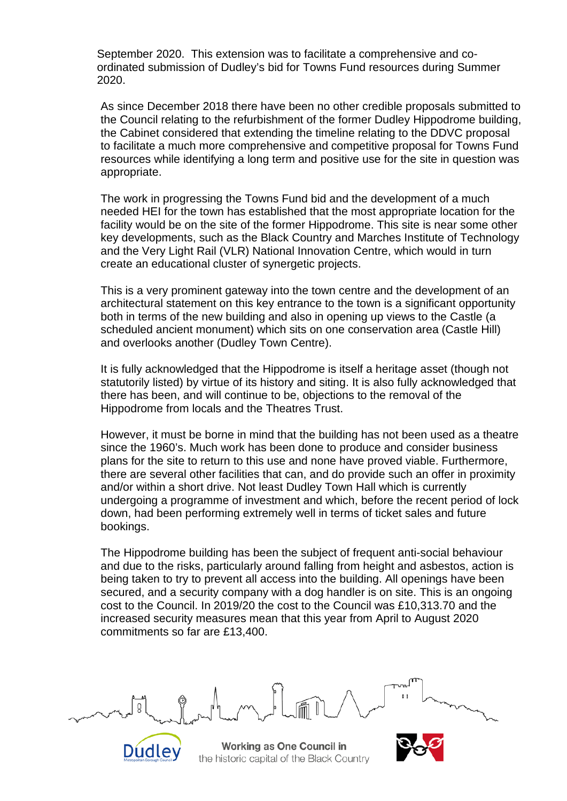September 2020. This extension was to facilitate a comprehensive and coordinated submission of Dudley's bid for Towns Fund resources during Summer 2020.

As since December 2018 there have been no other credible proposals submitted to the Council relating to the refurbishment of the former Dudley Hippodrome building, the Cabinet considered that extending the timeline relating to the DDVC proposal to facilitate a much more comprehensive and competitive proposal for Towns Fund resources while identifying a long term and positive use for the site in question was appropriate.

The work in progressing the Towns Fund bid and the development of a much needed HEI for the town has established that the most appropriate location for the facility would be on the site of the former Hippodrome. This site is near some other key developments, such as the Black Country and Marches Institute of Technology and the Very Light Rail (VLR) National Innovation Centre, which would in turn create an educational cluster of synergetic projects.

This is a very prominent gateway into the town centre and the development of an architectural statement on this key entrance to the town is a significant opportunity both in terms of the new building and also in opening up views to the Castle (a scheduled ancient monument) which sits on one conservation area (Castle Hill) and overlooks another (Dudley Town Centre).

It is fully acknowledged that the Hippodrome is itself a heritage asset (though not statutorily listed) by virtue of its history and siting. It is also fully acknowledged that there has been, and will continue to be, objections to the removal of the Hippodrome from locals and the Theatres Trust.

However, it must be borne in mind that the building has not been used as a theatre since the 1960's. Much work has been done to produce and consider business plans for the site to return to this use and none have proved viable. Furthermore, there are several other facilities that can, and do provide such an offer in proximity and/or within a short drive. Not least Dudley Town Hall which is currently undergoing a programme of investment and which, before the recent period of lock down, had been performing extremely well in terms of ticket sales and future bookings.

The Hippodrome building has been the subject of frequent anti-social behaviour and due to the risks, particularly around falling from height and asbestos, action is being taken to try to prevent all access into the building. All openings have been secured, and a security company with a dog handler is on site. This is an ongoing cost to the Council. In 2019/20 the cost to the Council was £10,313.70 and the increased security measures mean that this year from April to August 2020 commitments so far are £13,400.

Working as One Council in the historic capital of the Black Country

Dudley

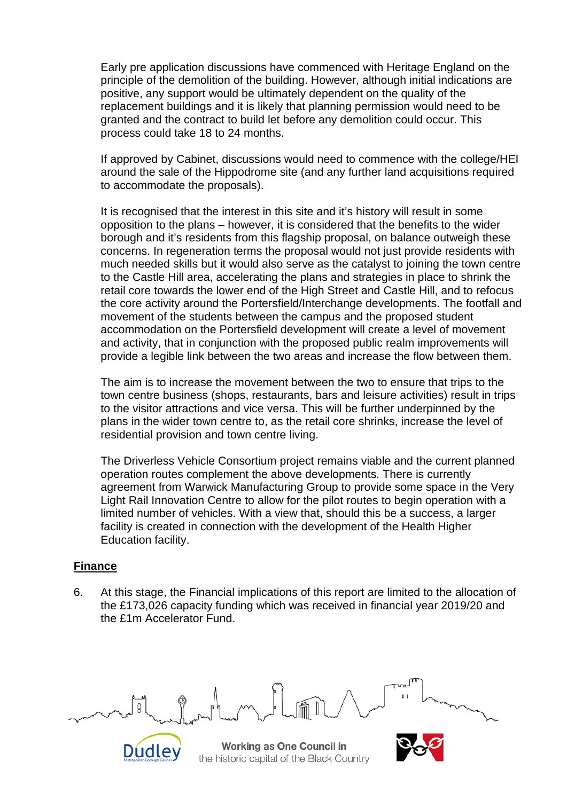Early pre application discussions have commenced with Heritage England on the principle of the demolition of the building. However, although initial indications are positive, any support would be ultimately dependent on the quality of the replacement buildings and it is likely that planning permission would need to be granted and the contract to build let before any demolition could occur. This process could take 18 to 24 months.

If approved by Cabinet, discussions would need to commence with the college/HEI around the sale of the Hippodrome site (and any further land acquisitions required to accommodate the proposals).

It is recognised that the interest in this site and it's history will result in some opposition to the plans – however, it is considered that the benefits to the wider borough and it's residents from this flagship proposal, on balance outweigh these concerns. In regeneration terms the proposal would not just provide residents with much needed skills but it would also serve as the catalyst to joining the town centre to the Castle Hill area, accelerating the plans and strategies in place to shrink the retail core towards the lower end of the High Street and Castle Hill, and to refocus the core activity around the Portersfield/Interchange developments. The footfall and movement of the students between the campus and the proposed student accommodation on the Portersfield development will create a level of movement and activity, that in conjunction with the proposed public realm improvements will provide a legible link between the two areas and increase the flow between them.

The aim is to increase the movement between the two to ensure that trips to the town centre business (shops, restaurants, bars and leisure activities) result in trips to the visitor attractions and vice versa. This will be further underpinned by the plans in the wider town centre to, as the retail core shrinks, increase the level of residential provision and town centre living.

The Driverless Vehicle Consortium project remains viable and the current planned operation routes complement the above developments. There is currently agreement from Warwick Manufacturing Group to provide some space in the Very Light Rail Innovation Centre to allow for the pilot routes to begin operation with a limited number of vehicles. With a view that, should this be a success, a larger facility is created in connection with the development of the Health Higher Education facility.

#### **Finance**

Dudley

6. At this stage, the Financial implications of this report are limited to the allocation of the £173,026 capacity funding which was received in financial year 2019/20 and the £1m Accelerator Fund.

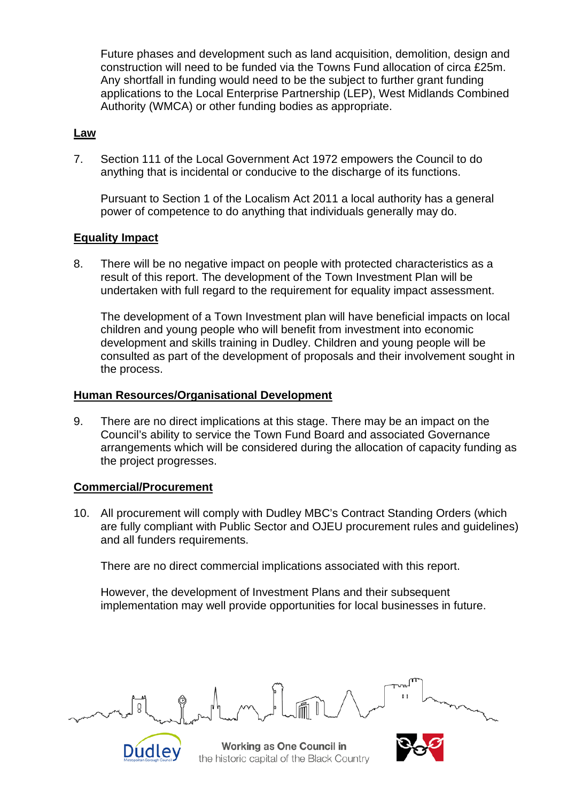Future phases and development such as land acquisition, demolition, design and construction will need to be funded via the Towns Fund allocation of circa £25m. Any shortfall in funding would need to be the subject to further grant funding applications to the Local Enterprise Partnership (LEP), West Midlands Combined Authority (WMCA) or other funding bodies as appropriate.

### **Law**

7. Section 111 of the Local Government Act 1972 empowers the Council to do anything that is incidental or conducive to the discharge of its functions.

Pursuant to Section 1 of the Localism Act 2011 a local authority has a general power of competence to do anything that individuals generally may do.

### **Equality Impact**

8. There will be no negative impact on people with protected characteristics as a result of this report. The development of the Town Investment Plan will be undertaken with full regard to the requirement for equality impact assessment.

The development of a Town Investment plan will have beneficial impacts on local children and young people who will benefit from investment into economic development and skills training in Dudley. Children and young people will be consulted as part of the development of proposals and their involvement sought in the process.

#### **Human Resources/Organisational Development**

9. There are no direct implications at this stage. There may be an impact on the Council's ability to service the Town Fund Board and associated Governance arrangements which will be considered during the allocation of capacity funding as the project progresses.

#### **Commercial/Procurement**

Dudley

10. All procurement will comply with Dudley MBC's Contract Standing Orders (which are fully compliant with Public Sector and OJEU procurement rules and guidelines) and all funders requirements.

There are no direct commercial implications associated with this report.

However, the development of Investment Plans and their subsequent implementation may well provide opportunities for local businesses in future.



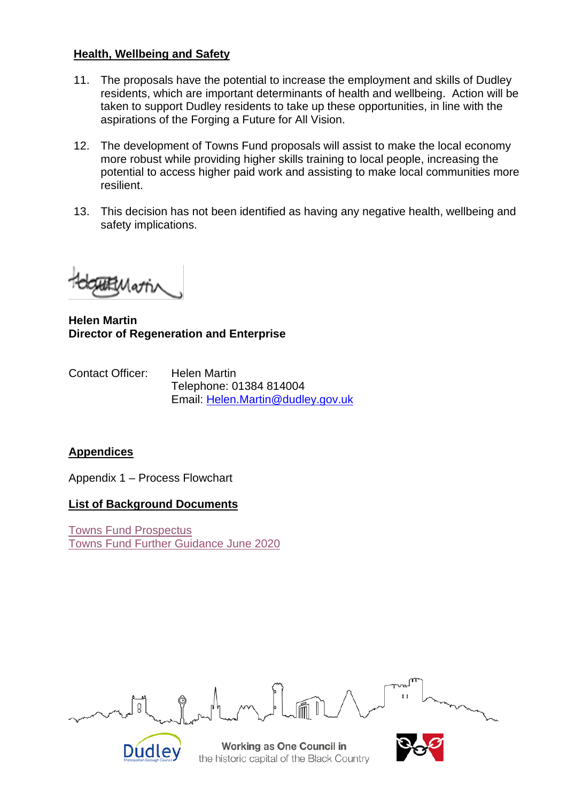### **Health, Wellbeing and Safety**

- 11. The proposals have the potential to increase the employment and skills of Dudley residents, which are important determinants of health and wellbeing. Action will be taken to support Dudley residents to take up these opportunities, in line with the aspirations of the Forging a Future for All Vision.
- 12. The development of Towns Fund proposals will assist to make the local economy more robust while providing higher skills training to local people, increasing the potential to access higher paid work and assisting to make local communities more resilient.
- 13. This decision has not been identified as having any negative health, wellbeing and safety implications.

BMoth

**Helen Martin Director of Regeneration and Enterprise**

Contact Officer: Helen Martin Telephone: 01384 814004 Email: [Helen.Martin@dudley.gov.uk](mailto:Helen.Martin@dudley.gov.uk)

## **Appendices**

Appendix 1 – Process Flowchart

#### **List of Background Documents**

Dudley

[Towns Fund Prospectus](https://assets.publishing.service.gov.uk/government/uploads/system/uploads/attachment_data/file/886737/20191031_Towns_Fund_prospectus.pdf) [Towns Fund Further Guidance June 2020](https://assets.publishing.service.gov.uk/government/uploads/system/uploads/attachment_data/file/892781/Towns_Fund_further_guidance_16_June_FINAL.pdf)

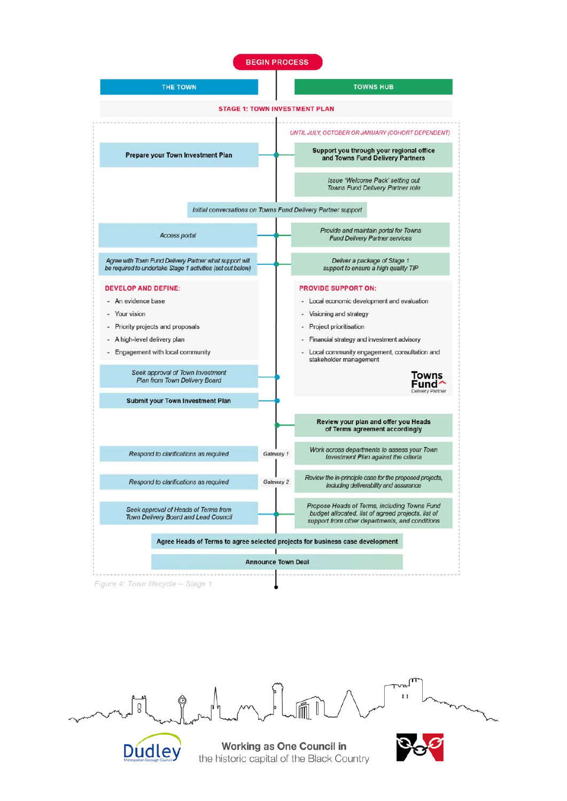| <b>THE TOWN</b>                                                                                                                                                          |                           | <b>TOWNS HUB</b>                                                                                                                                                                                                                                    |
|--------------------------------------------------------------------------------------------------------------------------------------------------------------------------|---------------------------|-----------------------------------------------------------------------------------------------------------------------------------------------------------------------------------------------------------------------------------------------------|
|                                                                                                                                                                          |                           | <b>STAGE 1: TOWN INVESTMENT PLAN</b>                                                                                                                                                                                                                |
|                                                                                                                                                                          |                           | UNTIL JULY, OCTOBER OR JANUARY (COHORT DEPENDENT)                                                                                                                                                                                                   |
| <b>Prepare your Town Investment Plan</b>                                                                                                                                 |                           | Support you through your regional office<br>and Towns Fund Delivery Partners                                                                                                                                                                        |
|                                                                                                                                                                          |                           | Issue 'Welcome Pack' setting out<br>Towns Fund Delivery Partner role                                                                                                                                                                                |
|                                                                                                                                                                          |                           | Initial conversations on Towns Fund Delivery Partner support                                                                                                                                                                                        |
| Access portal                                                                                                                                                            |                           | Provide and maintain portal for Towns<br><b>Fund Delivery Partner services</b>                                                                                                                                                                      |
| Agree with Town Fund Delivery Partner what support will<br>be required to undertake Stage 1 activities (set out below)                                                   |                           | Deliver a package of Stage 1<br>support to ensure a high quality TIP                                                                                                                                                                                |
| <b>DEVELOP AND DEFINE:</b><br>An evidence base<br><b>Your vision</b><br>Priority projects and proposals<br>A high-level delivery plan<br>Engagement with local community |                           | <b>PROVIDE SUPPORT ON:</b><br>Local economic development and evaluation<br>Visioning and strategy<br>Project prioritisation<br>Financial strategy and investment advisory<br>Local community engagement, consultation and<br>stakeholder management |
| Seek approval of Town Investment<br>Plan from Town Delivery Board                                                                                                        |                           | Towns<br>Fund<br>elivery Partner                                                                                                                                                                                                                    |
| <b>Submit your Town Investment Plan</b>                                                                                                                                  |                           |                                                                                                                                                                                                                                                     |
|                                                                                                                                                                          |                           | Review your plan and offer you Heads<br>of Terms agreement accordingly                                                                                                                                                                              |
| Respond to clarifications as required                                                                                                                                    | Gateway 1                 | Work across departments to assess your Town<br>Investment Plan against the criteria                                                                                                                                                                 |
| Respond to clarifications as required                                                                                                                                    | Gateway 2                 | Review the in-principle case for the proposed projects,<br>including deliverability and assurance                                                                                                                                                   |
| Seek approval of Heads of Terms from<br>Town Delivery Board and Lead Council                                                                                             |                           | Propose Heads of Terms, including Towns Fund<br>budget allocated, list of agreed projects, list of<br>support from other departments, and conditions                                                                                                |
|                                                                                                                                                                          |                           | Agree Heads of Terms to agree selected projects for business case development                                                                                                                                                                       |
|                                                                                                                                                                          | <b>Announce Town Deal</b> |                                                                                                                                                                                                                                                     |

 $\circledcirc$ ں<br>و 氚 

Dudley

**Working as One Council in**<br>the historic capital of the Black Country



**und**  $\mathbf{0}$